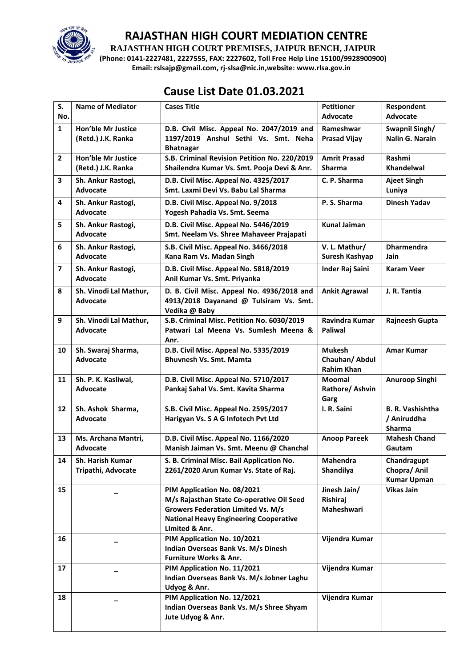

**RAJASTHAN HIGH COURT PREMISES, JAIPUR BENCH, JAIPUR**

**(Phone: 0141-2227481, 2227555, FAX: 2227602, Toll Free Help Line 15100/9928900900) Email: rslsajp@gmail.com, rj-slsa@nic.in,website: www.rlsa.gov.in**

# **Cause List Date 01.03.2021**

| S.                      | <b>Name of Mediator</b>                   | <b>Cases Title</b>                                                                   | <b>Petitioner</b>                  | Respondent                         |
|-------------------------|-------------------------------------------|--------------------------------------------------------------------------------------|------------------------------------|------------------------------------|
| No.                     |                                           |                                                                                      | <b>Advocate</b>                    | Advocate                           |
| $\mathbf{1}$            | Hon'ble Mr Justice                        | D.B. Civil Misc. Appeal No. 2047/2019 and                                            | Rameshwar                          | Swapnil Singh/                     |
|                         | (Retd.) J.K. Ranka                        | 1197/2019 Anshul Sethi Vs. Smt. Neha<br><b>Bhatnagar</b>                             | <b>Prasad Vijay</b>                | <b>Nalin G. Narain</b>             |
| $\overline{2}$          | <b>Hon'ble Mr Justice</b>                 | S.B. Criminal Revision Petition No. 220/2019                                         | <b>Amrit Prasad</b>                | Rashmi                             |
|                         | (Retd.) J.K. Ranka                        | Shailendra Kumar Vs. Smt. Pooja Devi & Anr.                                          | <b>Sharma</b>                      | Khandelwal                         |
| 3                       | Sh. Ankur Rastogi,<br><b>Advocate</b>     | D.B. Civil Misc. Appeal No. 4325/2017<br>Smt. Laxmi Devi Vs. Babu Lal Sharma         | C. P. Sharma                       | <b>Ajeet Singh</b><br>Luniya       |
| 4                       |                                           | D.B. Civil Misc. Appeal No. 9/2018                                                   | P.S. Sharma                        | <b>Dinesh Yadav</b>                |
|                         | Sh. Ankur Rastogi,<br><b>Advocate</b>     | Yogesh Pahadia Vs. Smt. Seema                                                        |                                    |                                    |
| 5                       | Sh. Ankur Rastogi,<br>Advocate            | D.B. Civil Misc. Appeal No. 5446/2019<br>Smt. Neelam Vs. Shree Mahaveer Prajapati    | <b>Kunal Jaiman</b>                |                                    |
| 6                       | Sh. Ankur Rastogi,<br>Advocate            | S.B. Civil Misc. Appeal No. 3466/2018<br>Kana Ram Vs. Madan Singh                    | V. L. Mathur/<br>Suresh Kashyap    | <b>Dharmendra</b><br>Jain          |
| $\overline{\mathbf{z}}$ | Sh. Ankur Rastogi,<br>Advocate            | D.B. Civil Misc. Appeal No. 5818/2019<br>Anil Kumar Vs. Smt. Priyanka                | Inder Raj Saini                    | <b>Karam Veer</b>                  |
| 8                       | Sh. Vinodi Lal Mathur,<br><b>Advocate</b> | D. B. Civil Misc. Appeal No. 4936/2018 and<br>4913/2018 Dayanand @ Tulsiram Vs. Smt. | <b>Ankit Agrawal</b>               | J. R. Tantia                       |
|                         |                                           | Vedika @ Baby                                                                        |                                    |                                    |
| 9                       | Sh. Vinodi Lal Mathur,                    | S.B. Criminal Misc. Petition No. 6030/2019                                           | <b>Ravindra Kumar</b>              | <b>Rajneesh Gupta</b>              |
|                         | <b>Advocate</b>                           | Patwari Lal Meena Vs. Sumlesh Meena &<br>Anr.                                        | <b>Paliwal</b>                     |                                    |
| 10                      | Sh. Swaraj Sharma,                        | D.B. Civil Misc. Appeal No. 5335/2019                                                | <b>Mukesh</b>                      | <b>Amar Kumar</b>                  |
|                         | Advocate                                  | <b>Bhuvnesh Vs. Smt. Mamta</b>                                                       | Chauhan/ Abdul                     |                                    |
| 11                      | Sh. P. K. Kasliwal,                       | D.B. Civil Misc. Appeal No. 5710/2017                                                | <b>Rahim Khan</b><br><b>Moomal</b> | Anuroop Singhi                     |
|                         | Advocate                                  | Pankaj Sahal Vs. Smt. Kavita Sharma                                                  | Rathore/ Ashvin                    |                                    |
|                         |                                           |                                                                                      | Garg                               |                                    |
| 12                      | Sh. Ashok Sharma,                         | S.B. Civil Misc. Appeal No. 2595/2017                                                | I. R. Saini                        | <b>B. R. Vashishtha</b>            |
|                         | <b>Advocate</b>                           | Harigyan Vs. S A G Infotech Pvt Ltd                                                  |                                    | / Aniruddha<br><b>Sharma</b>       |
| 13                      | Ms. Archana Mantri,                       | D.B. Civil Misc. Appeal No. 1166/2020                                                | <b>Anoop Pareek</b>                | <b>Mahesh Chand</b>                |
|                         | <b>Advocate</b>                           | Manish Jaiman Vs. Smt. Meenu @ Chanchal                                              |                                    | Gautam                             |
| 14                      | Sh. Harish Kumar                          | S. B. Criminal Misc. Bail Application No.                                            | Mahendra                           | Chandragupt                        |
|                         | Tripathi, Advocate                        | 2261/2020 Arun Kumar Vs. State of Raj.                                               | Shandilya                          | Chopra/ Anil<br><b>Kumar Upman</b> |
| 15                      |                                           | PIM Application No. 08/2021                                                          | Jinesh Jain/                       | <b>Vikas Jain</b>                  |
|                         |                                           | M/s Rajasthan State Co-operative Oil Seed                                            | Rishiraj                           |                                    |
|                         |                                           | <b>Growers Federation Limited Vs. M/s</b>                                            | Maheshwari                         |                                    |
|                         |                                           | <b>National Heavy Engineering Cooperative</b><br>LImited & Anr.                      |                                    |                                    |
| 16                      |                                           | PIM Application No. 10/2021                                                          | Vijendra Kumar                     |                                    |
|                         |                                           | Indian Overseas Bank Vs. M/s Dinesh                                                  |                                    |                                    |
|                         |                                           | Furniture Works & Anr.                                                               |                                    |                                    |
| 17                      |                                           | PIM Application No. 11/2021                                                          | Vijendra Kumar                     |                                    |
|                         |                                           | Indian Overseas Bank Vs. M/s Jobner Laghu                                            |                                    |                                    |
| 18                      |                                           | Udyog & Anr.<br>PIM Application No. 12/2021                                          | Vijendra Kumar                     |                                    |
|                         |                                           | Indian Overseas Bank Vs. M/s Shree Shyam                                             |                                    |                                    |
|                         |                                           | Jute Udyog & Anr.                                                                    |                                    |                                    |
|                         |                                           |                                                                                      |                                    |                                    |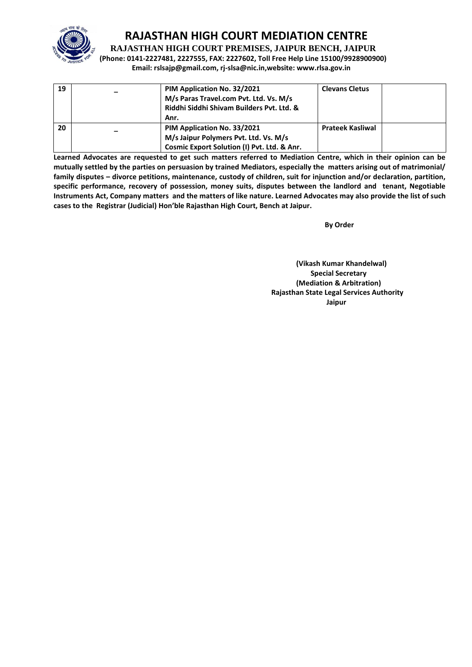

**RAJASTHAN HIGH COURT PREMISES, JAIPUR BENCH, JAIPUR**

**(Phone: 0141-2227481, 2227555, FAX: 2227602, Toll Free Help Line 15100/9928900900) Email: rslsajp@gmail.com, rj-slsa@nic.in,website: www.rlsa.gov.in**

| 19 | PIM Application No. 32/2021<br>M/s Paras Travel.com Pvt. Ltd. Vs. M/s<br>Riddhi Siddhi Shiyam Builders Pyt. Ltd. &<br>Anr. | <b>Clevans Cletus</b>   |  |
|----|----------------------------------------------------------------------------------------------------------------------------|-------------------------|--|
| 20 | PIM Application No. 33/2021<br>M/s Jaipur Polymers Pvt. Ltd. Vs. M/s<br>Cosmic Export Solution (I) Pvt. Ltd. & Anr.        | <b>Prateek Kasliwal</b> |  |

**Learned Advocates are requested to get such matters referred to Mediation Centre, which in their opinion can be mutually settled by the parties on persuasion by trained Mediators, especially the matters arising out of matrimonial/ family disputes – divorce petitions, maintenance, custody of children, suit for injunction and/or declaration, partition, specific performance, recovery of possession, money suits, disputes between the landlord and tenant, Negotiable Instruments Act, Company matters and the matters of like nature. Learned Advocates may also provide the list of such cases to the Registrar (Judicial) Hon'ble Rajasthan High Court, Bench at Jaipur.** 

**By Order** 

**(Vikash Kumar Khandelwal) Special Secretary (Mediation & Arbitration) Rajasthan State Legal Services Authority Jaipur**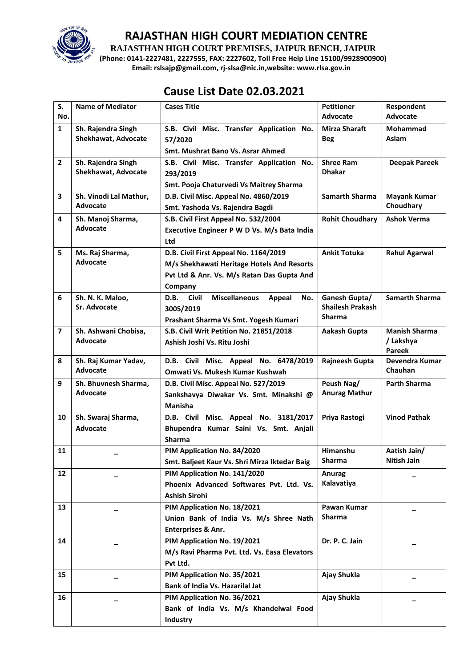

**RAJASTHAN HIGH COURT PREMISES, JAIPUR BENCH, JAIPUR**

**(Phone: 0141-2227481, 2227555, FAX: 2227602, Toll Free Help Line 15100/9928900900) Email: rslsajp@gmail.com, rj-slsa@nic.in,website: www.rlsa.gov.in**

## **Cause List Date 02.03.2021**

| S.                      | <b>Name of Mediator</b>              | <b>Cases Title</b>                                 | <b>Petitioner</b>                        | Respondent                       |
|-------------------------|--------------------------------------|----------------------------------------------------|------------------------------------------|----------------------------------|
| No.                     |                                      |                                                    | Advocate                                 | <b>Advocate</b>                  |
| $\mathbf{1}$            | Sh. Rajendra Singh                   | S.B. Civil Misc. Transfer Application No.          | Mirza Sharaft                            | Mohammad                         |
|                         | <b>Shekhawat, Advocate</b>           | 57/2020                                            | <b>Beg</b>                               | Aslam                            |
|                         |                                      | <b>Smt. Mushrat Bano Vs. Asrar Ahmed</b>           |                                          |                                  |
| $\overline{2}$          | Sh. Rajendra Singh                   | S.B. Civil Misc. Transfer Application No.          | <b>Shree Ram</b>                         | <b>Deepak Pareek</b>             |
|                         | Shekhawat, Advocate                  | 293/2019                                           | <b>Dhakar</b>                            |                                  |
|                         |                                      | Smt. Pooja Chaturvedi Vs Maitrey Sharma            |                                          |                                  |
| 3                       | Sh. Vinodi Lal Mathur,<br>Advocate   | D.B. Civil Misc. Appeal No. 4860/2019              | <b>Samarth Sharma</b>                    | <b>Mayank Kumar</b><br>Choudhary |
|                         |                                      | Smt. Yashoda Vs. Rajendra Bagdi                    |                                          |                                  |
| 4                       | Sh. Manoj Sharma,<br><b>Advocate</b> | S.B. Civil First Appeal No. 532/2004               | <b>Rohit Choudhary</b>                   | <b>Ashok Verma</b>               |
|                         |                                      | Executive Engineer P W D Vs. M/s Bata India        |                                          |                                  |
|                         |                                      | Ltd                                                |                                          |                                  |
| 5                       | Ms. Raj Sharma,<br><b>Advocate</b>   | D.B. Civil First Appeal No. 1164/2019              | <b>Ankit Totuka</b>                      | <b>Rahul Agarwal</b>             |
|                         |                                      | M/s Shekhawati Heritage Hotels And Resorts         |                                          |                                  |
|                         |                                      | Pvt Ltd & Anr. Vs. M/s Ratan Das Gupta And         |                                          |                                  |
|                         |                                      | Company<br>D.B.<br><b>Civil</b>                    |                                          | <b>Samarth Sharma</b>            |
| 6                       | Sh. N. K. Maloo,<br>Sr. Advocate     | <b>Miscellaneous</b><br>Appeal<br>No.              | Ganesh Gupta/<br><b>Shailesh Prakash</b> |                                  |
|                         |                                      | 3005/2019<br>Prashant Sharma Vs Smt. Yogesh Kumari | <b>Sharma</b>                            |                                  |
| $\overline{\mathbf{z}}$ | Sh. Ashwani Chobisa,                 | S.B. Civil Writ Petition No. 21851/2018            | Aakash Gupta                             | <b>Manish Sharma</b>             |
|                         | Advocate                             | Ashish Joshi Vs. Ritu Joshi                        |                                          | / Lakshya                        |
|                         |                                      |                                                    |                                          | Pareek                           |
| 8                       | Sh. Raj Kumar Yadav,                 | D.B. Civil Misc. Appeal No. 6478/2019              | Rajneesh Gupta                           | Devendra Kumar                   |
|                         | <b>Advocate</b>                      | Omwati Vs. Mukesh Kumar Kushwah                    |                                          | Chauhan                          |
| 9                       | Sh. Bhuvnesh Sharma,                 | D.B. Civil Misc. Appeal No. 527/2019               | Peush Nag/                               | <b>Parth Sharma</b>              |
|                         | Advocate                             | Sankshavya Diwakar Vs. Smt. Minakshi @             | <b>Anurag Mathur</b>                     |                                  |
|                         |                                      | Manisha                                            |                                          |                                  |
| 10                      | Sh. Swaraj Sharma,                   | D.B. Civil Misc. Appeal No. 3181/2017              | Priya Rastogi                            | <b>Vinod Pathak</b>              |
|                         | <b>Advocate</b>                      | Bhupendra Kumar Saini Vs. Smt. Anjali              |                                          |                                  |
|                         |                                      | <b>Sharma</b>                                      |                                          |                                  |
| 11                      |                                      | PIM Application No. 84/2020                        | Himanshu                                 | Aatish Jain/                     |
|                         |                                      | Smt. Baljeet Kaur Vs. Shri Mirza Iktedar Baig      | Sharma                                   | Nitish Jain                      |
| 12                      |                                      | PIM Application No. 141/2020                       | Anurag                                   |                                  |
|                         |                                      | Phoenix Advanced Softwares Pvt. Ltd. Vs.           | Kalavatiya                               |                                  |
|                         |                                      | Ashish Sirohi                                      |                                          |                                  |
| 13                      |                                      | PIM Application No. 18/2021                        | Pawan Kumar                              |                                  |
|                         |                                      | Union Bank of India Vs. M/s Shree Nath             | <b>Sharma</b>                            |                                  |
|                         |                                      | Enterprises & Anr.                                 |                                          |                                  |
| 14                      |                                      | PIM Application No. 19/2021                        | Dr. P. C. Jain                           |                                  |
|                         |                                      | M/s Ravi Pharma Pvt. Ltd. Vs. Easa Elevators       |                                          |                                  |
|                         |                                      | Pvt Ltd.                                           |                                          |                                  |
| 15                      |                                      | PIM Application No. 35/2021                        | Ajay Shukla                              |                                  |
|                         |                                      | Bank of India Vs. Hazarilal Jat                    |                                          |                                  |
| 16                      |                                      | PIM Application No. 36/2021                        | Ajay Shukla                              |                                  |
|                         |                                      | Bank of India Vs. M/s Khandelwal Food              |                                          |                                  |
|                         |                                      | <b>Industry</b>                                    |                                          |                                  |